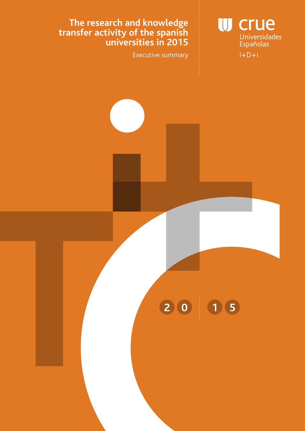

# **The research and knowledge transfer activity of the spanish universities in 2015**

Executive summary

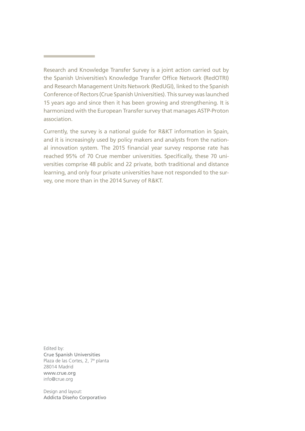Currently, the survey is a national guide for R&KT information in Spain, and it is increasingly used by policy makers and analysts from the national innovation system. The 2015 financial year survey response rate has reached 95% of 70 Crue member universities. Specifically, these 70 universities comprise 48 public and 22 private, both traditional and distance learning, and only four private universities have not responded to the survey, one more than in the 2014 Survey of R&KT.

Edited by: Crue Spanish Universities Plaza de las Cortes, 2, 7ª planta 28014 Madrid www.crue.org info@crue.org

Design and layout: Addicta Diseño Corporativo

Research and Knowledge Transfer Survey is a joint action carried out by the Spanish Universities's Knowledge Transfer Office Network (RedOTRI) and Research Management Units Network (RedUGI), linked to the Spanish Conference of Rectors (Crue Spanish Universities). This survey was launched 15 years ago and since then it has been growing and strengthening. It is harmonized with the European Transfer survey that manages ASTP-Proton association.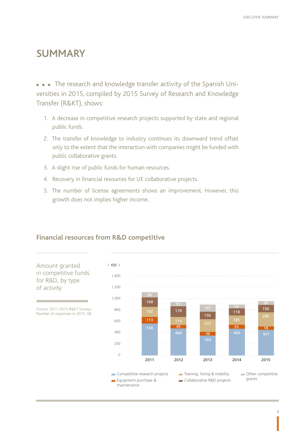# **SUMMARY**

The research and knowledge transfer activity of the Spanish Universities in 2015, compiled by 2015 Survey of Research and Knowledge Transfer (R&KT), shows:

- 1. A decrease in competitive research projects supported by state and regional public funds.
- 2. The transfer of knowledge to industry continues its downward trend offset only to the extent that the interaction with companies might be funded with public collaborative grants.
- 3. A slight rise of public funds for human resources.
- 4. Recovery in financial resources for UE collaborative projects.
- 5. The number of license agreements shows an improvement. However, this growth does not implies higher income.



## **Financial resources from R&D competitive**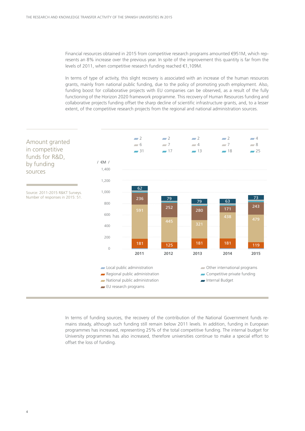Financial resources obtained in 2015 from competitive research programs amounted €951M, which represents an 8% increase over the previous year. In spite of the improvement this quantity is far from the levels of 2011, when competitive research funding reached €1,109M.

In terms of type of activity, this slight recovery is associated with an increase of the human resources grants, mainly from national public funding, due to the policy of promoting youth employment. Also, funding boost for collaborative projects with EU companies can be observed, as a result of the fully functioning of the Horizon 2020 framework programme. This recovery of Human Resources funding and collaborative projects funding offset the sharp decline of scientific infrastructure grants, and, to a lesser extent, of the competitive research projects from the regional and national administration sources.



In terms of funding sources, the recovery of the contribution of the National Government funds remains steady, although such funding still remain below 2011 levels. In addition, funding in European programmes has increased, representing 25% of the total competitive funding. The internal budget for University programmes has also increased, therefore universities continue to make a special effort to offset the loss of funding.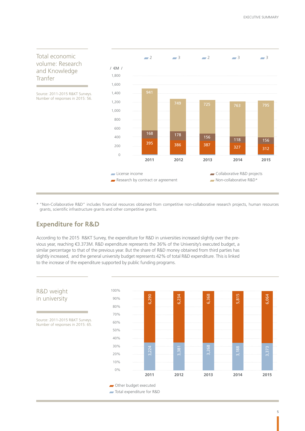

\* "Non-Collaborative R&D" includes financial resources obtained from competitive non-collaborative research projects, human resources grants, scientific infrastructure grants and other competitive grants.

#### **Expenditure for R&D**

According to the 2015 R&KT Survey, the expenditure for R&D in universities increased slightly over the previous year, reaching €3.373M. R&D expenditure represents the 36% of the University's executed budget, a similar percentage to that of the previous year. But the share of R&D money obtained from third parties has slightly increased, and the general university budget represents 42% of total R&D expenditure. This is linked to the increase of the expenditure supported by public funding programs.

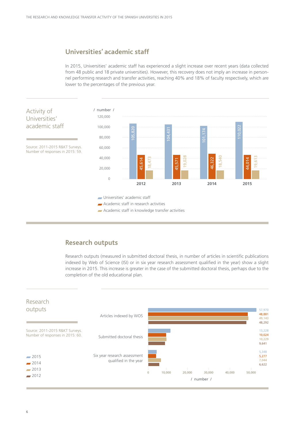## **Universities' academic staff**

In 2015, Universities' academic staff has experienced a slight increase over recent years (data collected from 48 public and 18 private universities). However, this recovery does not imply an increase in personnel performing research and transfer activities, reaching 40% and 18% of faculty respectively, which are lower to the percentages of the previous year.



#### **Research outputs**

Research outputs (measured in submitted doctoral thesis, in number of articles in scientific publications indexed by Web of Science (ISI) or in six year research assessment qualified in the year) show a slight increase in 2015. This increase is greater in the case of the submitted doctoral thesis, perhaps due to the completion of the old educational plan.

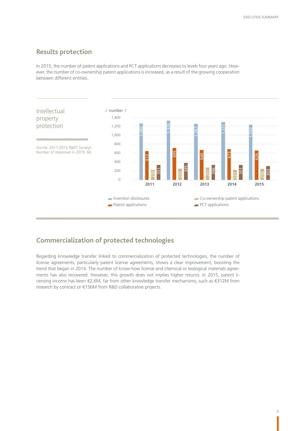7

## **Results protection**

In 2015, the number of patent applications and PCT applications decreases to levels four years ago. However, the number of co-ownership patent applications is increased, as a result of the growing cooperation between different entities.



## **Commercialization of protected technologies**

Regarding knowledge transfer linked to commercialization of protected technologies, the number of license agreements, particularly patent license agreements, shows a clear improvement, boosting the trend that began in 2014. The number of know-how license and chemical or biological materials agreements has also recovered. However, this growth does not implies higher returns. In 2015, patent licensing income has been €2,6M, far from other knowledge transfer mechanisms, such as €312M from research by contract or €156M from R&D collaborative projects.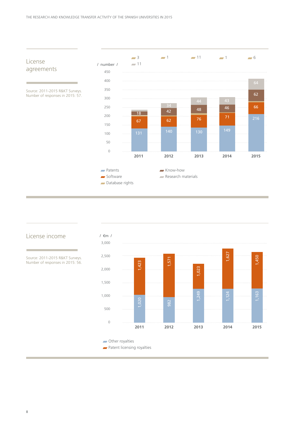

License

Source: 2011-2015 R&KT Surveys. Number of responses in 2015: 57.



#### License income

Source: 2011-2015 R&KT Surveys. Number of responses in 2015: 56.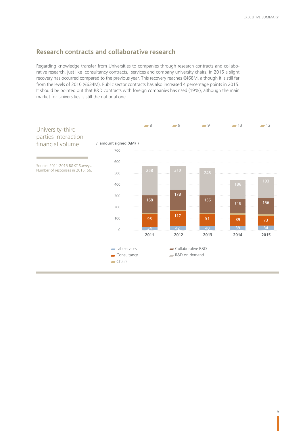## **Research contracts and collaborative research**

Regarding knowledge transfer from Universities to companies through research contracts and collaborative research, just like consultancy contracts, services and company university chairs, in 2015 a slight recovery has occurred compared to the previous year. This recovery reaches €468M, although it is still far from the levels of 2010 (€634M). Public sector contracts has also increased 4 percentage points in 2015. It should be pointed out that R&D contracts with foreign companies has rised (19%), although the main market for Universities is still the national one.

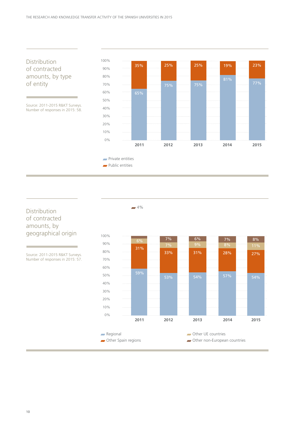Distribution of contracted amounts, by type of entity

Source: 2011-2015 R&KT Surveys. Number of responses in 2015: 58.



#### Distribution of contracted amounts, by geographical origin 100%

Source: 2011-2015 R&KT Surveys. Number of responses in 2015: 57.



 $-4%$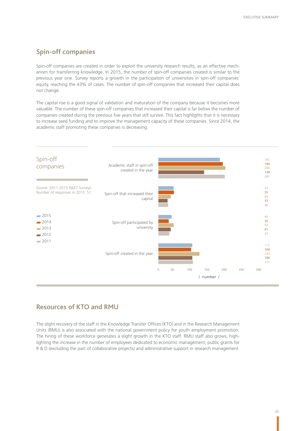#### **Spin-off companies**

Spin-off companies are created in order to exploit the university research results, as an effective mechanism for transferring knowledge. In 2015, the number of spin-off companies created is similar to the previous year one. Survey reports a growth in the participation of universities in spin-off companies´ equity, reaching the 43% of cases. The number of spin-off companies that increased their capital does not change.

The capital rise is a good signal of validation and maturation of the company because it becomes more valuable. The number of these spin-off companies that increased their capital is far below the number of companies created during the previous five years that still survive. This fact highlights that it is necessary to increase seed funding and to improve the management capacity of these companies. Since 2014, the academic staff promoting these companies is decreasing.



#### **Resources of KTO and RMU**

The slight recovery of the staff in the Knowledge Transfer Offices (KTO) and in the Research Management Units (RMU) is also associated with the national government policy for youth employment promotion. The hiring of these workforce generates a slight growth in the KTO staff. RMU staff also grows, highlighting the increase in the number of employees dedicated to economic management, public grants for R & D (excluding the part of collaborative projects) and administrative support in research management.